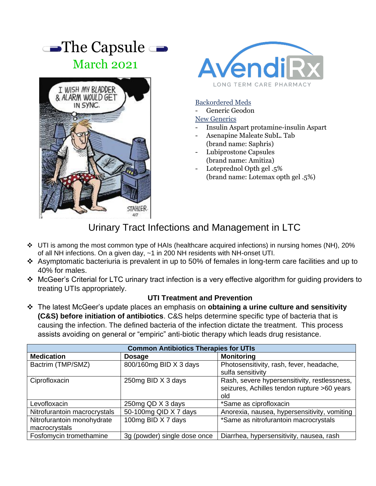



## Backordered Meds

Generic Geodon

- Insulin Aspart protamine-insulin Aspart
- Asenapine Maleate SubL. Tab (brand name: Saphris)
- Lubiprostone Capsules (brand name: Amitiza)
- Loteprednol Opth gel .5% (brand name: Lotemax opth gel .5%)

## Urinary Tract Infections and Management in LTC

- ❖ UTI is among the most common type of HAIs (healthcare acquired infections) in nursing homes (NH), 20% of all NH infections. On a given day, ~1 in 200 NH residents with NH-onset UTI.
- ❖ Asymptomatic bacteriuria is prevalent in up to 50% of females in long-term care facilities and up to 40% for males.
- ❖ McGeer's Criterial for LTC urinary tract infection is a very effective algorithm for guiding providers to treating UTIs appropriately.

## **UTI Treatment and Prevention**

❖ The latest McGeer's update places an emphasis on **obtaining a urine culture and sensitivity (C&S) before initiation of antibiotics**. C&S helps determine specific type of bacteria that is causing the infection. The defined bacteria of the infection dictate the treatment. This process assists avoiding on general or "empiric" anti-biotic therapy which leads drug resistance.

| <b>Common Antibiotics Therapies for UTIs</b> |                              |                                                                                                    |  |
|----------------------------------------------|------------------------------|----------------------------------------------------------------------------------------------------|--|
| <b>Medication</b>                            | <b>Dosage</b>                | <b>Monitoring</b>                                                                                  |  |
| Bactrim (TMP/SMZ)                            | 800/160mg BID X 3 days       | Photosensitivity, rash, fever, headache,<br>sulfa sensitivity                                      |  |
| Ciprofloxacin                                | 250mg BID X 3 days           | Rash, severe hypersensitivity, restlessness,<br>seizures, Achilles tendon rupture >60 years<br>old |  |
| Levofloxacin                                 | 250mg QD X 3 days            | *Same as ciprofloxacin                                                                             |  |
| Nitrofurantoin macrocrystals                 | 50-100mg QID X 7 days        | Anorexia, nausea, hypersensitivity, vomiting                                                       |  |
| Nitrofurantoin monohydrate<br>macrocrystals  | 100mg BID X 7 days           | *Same as nitrofurantoin macrocrystals                                                              |  |
| Fosfomycin tromethamine                      | 3g (powder) single dose once | Diarrhea, hypersensitivity, nausea, rash                                                           |  |